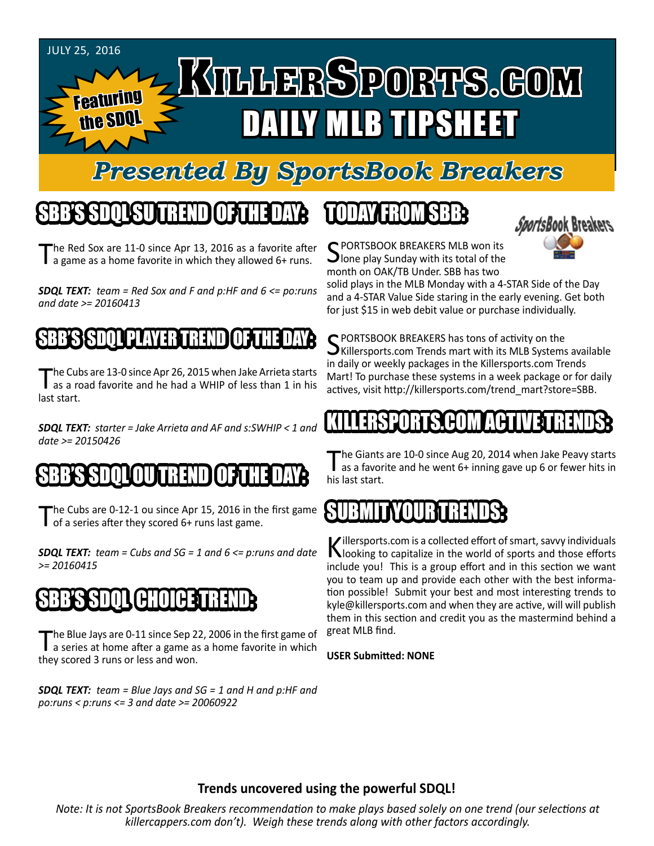

## *Presented By SportsBook Breakers*

#### SBB'S SDQL SU TREND OF THE DAY:

The Red Sox are 11-0 since Apr 13, 2016 as a favorite after a game as a home favorite in which they allowed 6+ runs.

*SDQL TEXT: team = Red Sox and F and p:HF and 6 <= po:runs and date >= 20160413*

#### SSSDIL

The Cubs are 13-0 since Apr 26, 2015 when Jake Arrieta starts<br>as a road favorite and he had a WHIP of less than 1 in his last start.

*SDQL TEXT: starter = Jake Arrieta and AF and s:SWHIP < 1 and date >= 20150426*

#### IN BRENDI

The Cubs are 0-12-1 ou since Apr 15, 2016 in the first game of a series after they scored 6+ runs last game.

*SDQL TEXT: team = Cubs and SG = 1 and 6 <= p:runs and date >= 20160415*

## SBB'S SDQL CHOICE TREND

The Blue Jays are 0-11 since Sep 22, 2006 in the first game of<br>a series at home after a game as a home favorite in which they scored 3 runs or less and won.

*SDQL TEXT: team = Blue Jays and SG = 1 and H and p:HF and po:runs < p:runs <= 3 and date >= 20060922*

## TODAY HAOMSBB



C PORTSBOOK BREAKERS MLB won its **J** lone play Sunday with its total of the month on OAK/TB Under. SBB has two

solid plays in the MLB Monday with a 4-STAR Side of the Day and a 4-STAR Value Side staring in the early evening. Get both for just \$15 in web debit value or purchase individually.

C PORTSBOOK BREAKERS has tons of activity on the  $\bigcup$ Killersports.com Trends mart with its MLB Systems available in daily or weekly packages in the Killersports.com Trends Mart! To purchase these systems in a week package or for daily actives, visit http://killersports.com/trend\_mart?store=SBB.

#### KILLERSPORTS.COM ACTIVE TRENDS:

The Giants are 10-0 since Aug 20, 2014 when Jake Peavy starts<br>as a favorite and he went 6+ inning gave up 6 or fewer hits in his last start.

#### SUBMITYOURTRENDS:

Killersports.com is a collected effort of smart, savvy individuals<br>Nooking to capitalize in the world of sports and those efforts include you! This is a group effort and in this section we want you to team up and provide each other with the best information possible! Submit your best and most interesting trends to kyle@killersports.com and when they are active, will will publish them in this section and credit you as the mastermind behind a great MLB find.

#### **USER Submitted: NONE**

#### **Trends uncovered using the powerful SDQL!**

*Note: It is not SportsBook Breakers recommendation to make plays based solely on one trend (our selections at killercappers.com don't). Weigh these trends along with other factors accordingly.*